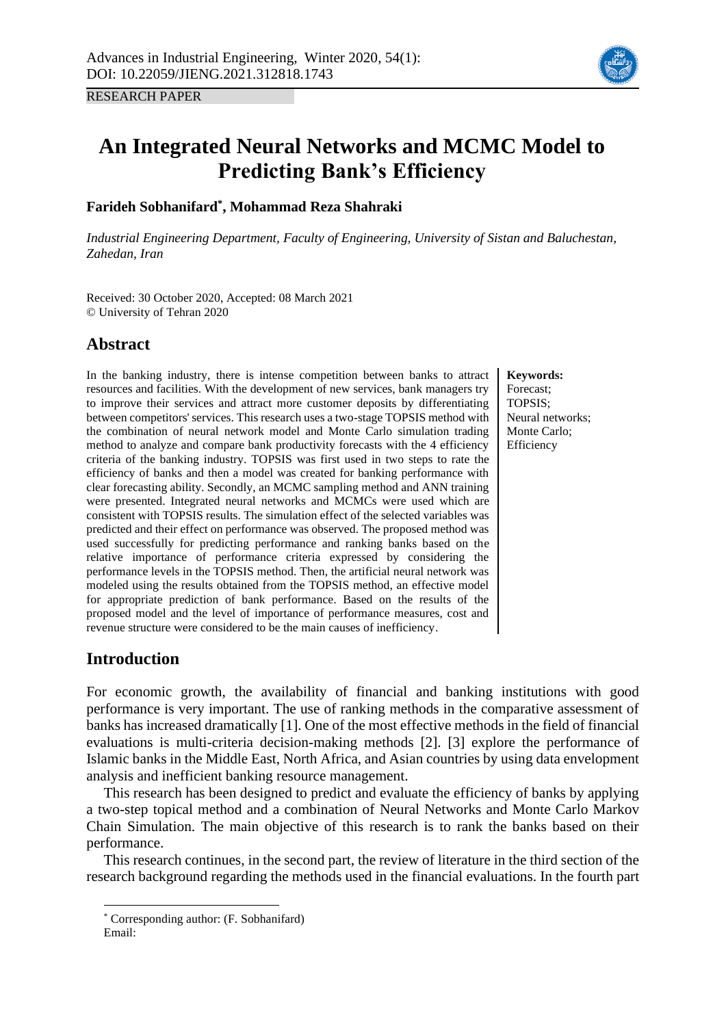RESEARCH PAPER



# **An Integrated Neural Networks and MCMC Model to Predicting Bank's Efficiency**

## **Farideh Sobhanifard\* , Mohammad Reza Shahraki**

*Industrial Engineering Department, Faculty of Engineering, University of Sistan and Baluchestan, Zahedan, Iran*

Received: 30 October 2020, Accepted: 08 March 2021 © University of Tehran 2020

## **Abstract**

In the banking industry, there is intense competition between banks to attract resources and facilities. With the development of new services, bank managers try to improve their services and attract more customer deposits by differentiating between competitors' services. This research uses a two-stage TOPSIS method with the combination of neural network model and Monte Carlo simulation trading method to analyze and compare bank productivity forecasts with the 4 efficiency criteria of the banking industry. TOPSIS was first used in two steps to rate the efficiency of banks and then a model was created for banking performance with clear forecasting ability. Secondly, an MCMC sampling method and ANN training were presented. Integrated neural networks and MCMCs were used which are consistent with TOPSIS results. The simulation effect of the selected variables was predicted and their effect on performance was observed. The proposed method was used successfully for predicting performance and ranking banks based on the relative importance of performance criteria expressed by considering the performance levels in the TOPSIS method. Then, the artificial neural network was modeled using the results obtained from the TOPSIS method, an effective model for appropriate prediction of bank performance. Based on the results of the proposed model and the level of importance of performance measures, cost and revenue structure were considered to be the main causes of inefficiency.

**Keywords:** Forecast; TOPSIS; Neural networks; Monte Carlo; Efficiency

# **Introduction**

For economic growth, the availability of financial and banking institutions with good performance is very important. The use of ranking methods in the comparative assessment of banks has increased dramatically [1]. One of the most effective methods in the field of financial evaluations is multi-criteria decision-making methods [2]. [3] explore the performance of Islamic banks in the Middle East, North Africa, and Asian countries by using data envelopment analysis and inefficient banking resource management.

This research has been designed to predict and evaluate the efficiency of banks by applying a two-step topical method and a combination of Neural Networks and Monte Carlo Markov Chain Simulation. The main objective of this research is to rank the banks based on their performance.

This research continues, in the second part, the review of literature in the third section of the research background regarding the methods used in the financial evaluations. In the fourth part

<sup>\*</sup> Corresponding author: (F. Sobhanifard)

Email: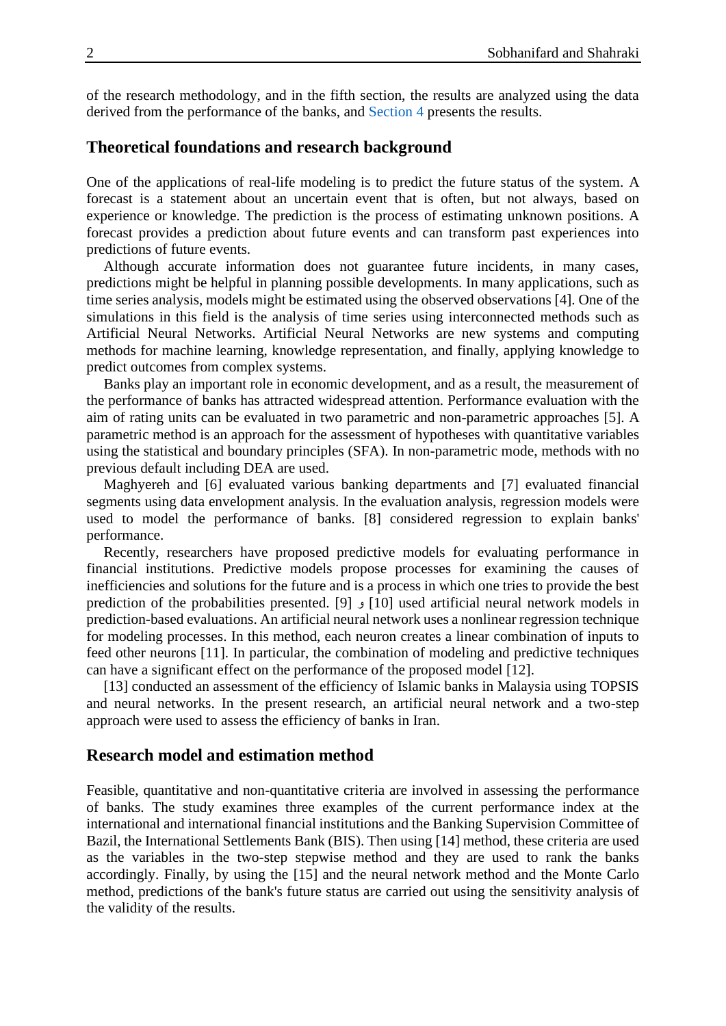of the research methodology, and in the fifth section, the results are analyzed using the data derived from the performance of the banks, and [Section 4](#page-6-0) presents the results.

## **Theoretical foundations and research background**

One of the applications of real-life modeling is to predict the future status of the system. A forecast is a statement about an uncertain event that is often, but not always, based on experience or knowledge. The prediction is the process of estimating unknown positions. A forecast provides a prediction about future events and can transform past experiences into predictions of future events.

Although accurate information does not guarantee future incidents, in many cases, predictions might be helpful in planning possible developments. In many applications, such as time series analysis, models might be estimated using the observed observations [4]. One of the simulations in this field is the analysis of time series using interconnected methods such as Artificial Neural Networks. Artificial Neural Networks are new systems and computing methods for machine learning, knowledge representation, and finally, applying knowledge to predict outcomes from complex systems.

Banks play an important role in economic development, and as a result, the measurement of the performance of banks has attracted widespread attention. Performance evaluation with the aim of rating units can be evaluated in two parametric and non-parametric approaches [5]. A parametric method is an approach for the assessment of hypotheses with quantitative variables using the statistical and boundary principles (SFA). In non-parametric mode, methods with no previous default including DEA are used.

Maghyereh and [6] evaluated various banking departments and [7] evaluated financial segments using data envelopment analysis. In the evaluation analysis, regression models were used to model the performance of banks. [8] considered regression to explain banks' performance.

Recently, researchers have proposed predictive models for evaluating performance in financial institutions. Predictive models propose processes for examining the causes of inefficiencies and solutions for the future and is a process in which one tries to provide the best prediction of the probabilities presented. [9] و [9] [10] used artificial neural network models in prediction-based evaluations. An artificial neural network uses a nonlinear regression technique for modeling processes. In this method, each neuron creates a linear combination of inputs to feed other neurons [11]. In particular, the combination of modeling and predictive techniques can have a significant effect on the performance of the proposed model [12].

[13] conducted an assessment of the efficiency of Islamic banks in Malaysia using TOPSIS and neural networks. In the present research, an artificial neural network and a two-step approach were used to assess the efficiency of banks in Iran.

## **Research model and estimation method**

Feasible, quantitative and non-quantitative criteria are involved in assessing the performance of banks. The study examines three examples of the current performance index at the international and international financial institutions and the Banking Supervision Committee of Bazil, the International Settlements Bank (BIS). Then using [14] method, these criteria are used as the variables in the two-step stepwise method and they are used to rank the banks accordingly. Finally, by using the [15] and the neural network method and the Monte Carlo method, predictions of the bank's future status are carried out using the sensitivity analysis of the validity of the results.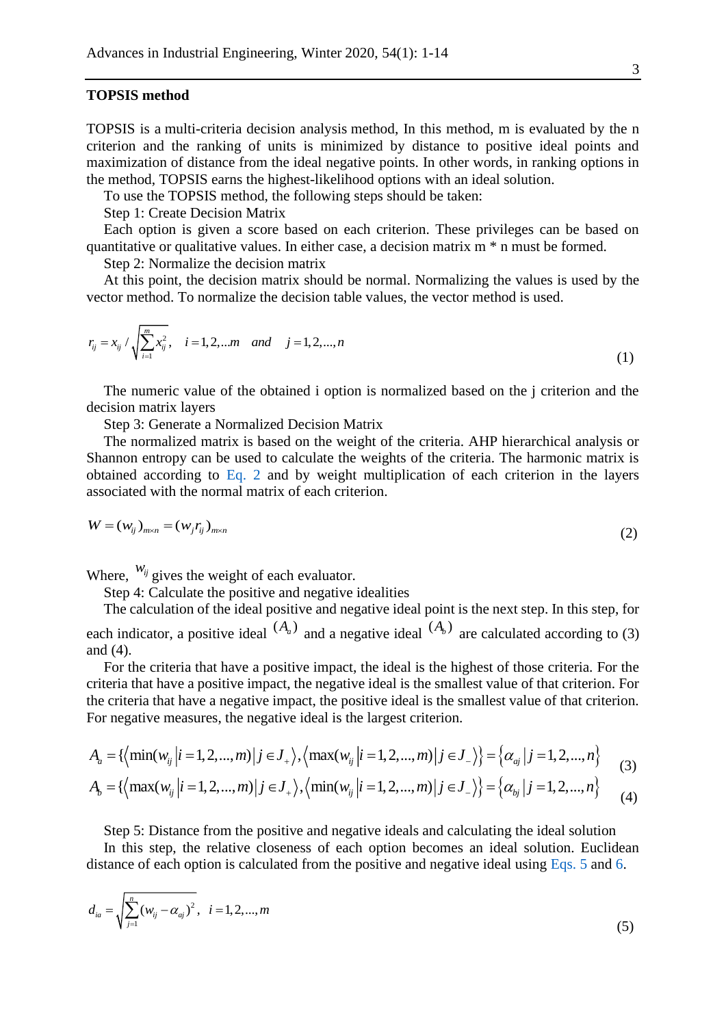#### **TOPSIS method**

TOPSIS is a multi-criteria decision analysis method, In this method, m is evaluated by the n criterion and the ranking of units is minimized by distance to positive ideal points and maximization of distance from the ideal negative points. In other words, in ranking options in the method, TOPSIS earns the highest-likelihood options with an ideal solution.

To use the TOPSIS method, the following steps should be taken:

Step 1: Create Decision Matrix

Each option is given a score based on each criterion. These privileges can be based on quantitative or qualitative values. In either case, a decision matrix m \* n must be formed.

Step 2: Normalize the decision matrix

At this point, the decision matrix should be normal. Normalizing the values is used by the vector method. To normalize the decision table values, the vector method is used.

$$
r_{ij} = x_{ij} / \sqrt{\sum_{i=1}^{m} x_{ij}^{2}}, \quad i = 1, 2, \dots m \quad and \quad j = 1, 2, \dots, n
$$
 (1)

The numeric value of the obtained i option is normalized based on the j criterion and the decision matrix layers

Step 3: Generate a Normalized Decision Matrix

The normalized matrix is based on the weight of the criteria. AHP hierarchical analysis or Shannon entropy can be used to calculate the weights of the criteria. The harmonic matrix is obtained according to [Eq. 2](#page-2-0) and by weight multiplication of each criterion in the layers associated with the normal matrix of each criterion.

$$
W = (w_{ij})_{m \times n} = (w_j r_{ij})_{m \times n}
$$
 (2)

Where,  $W_{ij}$  gives the weight of each evaluator.

<span id="page-2-0"></span>Step 4: Calculate the positive and negative idealities

The calculation of the ideal positive and negative ideal point is the next step. In this step, for each indicator, a positive ideal  $(A_a)$  and a negative ideal  $(A_b)$  are calculated according to (3) and (4).

For the criteria that have a positive impact, the ideal is the highest of those criteria. For the criteria that have a positive impact, the negative ideal is the smallest value of that criterion. For the criteria that have a negative impact, the positive ideal is the smallest value of that criterion. For negative measures, the negative ideal is the largest criterion.

$$
A_{a} = \{ \left\langle \min(w_{ij} | i = 1, 2, ..., m) | j \in J_{+} \right\rangle, \left\langle \max(w_{ij} | i = 1, 2, ..., m) | j \in J_{-} \right\rangle \} = \left\{ \alpha_{aj} | j = 1, 2, ..., n \right\}
$$
(3)

$$
A_b = \{ \left\langle \max(w_{ij} | i = 1, 2, ..., m) | j \in J_+ \right\rangle, \left\langle \min(w_{ij} | i = 1, 2, ..., m) | j \in J_- \right\rangle \} = \left\{ \alpha_{bj} | j = 1, 2, ..., n \right\}
$$
(4)

Step 5: Distance from the positive and negative ideals and calculating the ideal solution In this step, the relative closeness of each option becomes an ideal solution. Euclidean distance of each option is calculated from the positive and negative ideal using [Eqs. 5](#page-2-1) and [6.](#page-3-0)

<span id="page-2-1"></span>
$$
d_{ia} = \sqrt{\sum_{j=1}^{n} (w_{ij} - \alpha_{aj})^2}, \quad i = 1, 2, ..., m
$$
 (5)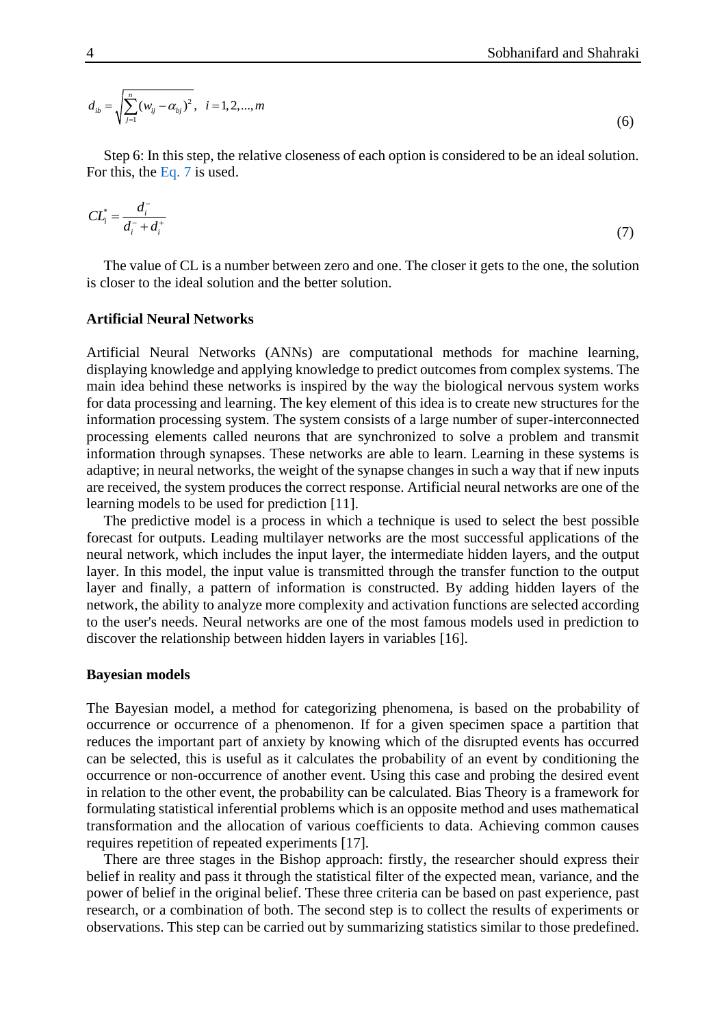<span id="page-3-0"></span>
$$
d_{ib} = \sqrt{\sum_{j=1}^{n} (w_{ij} - \alpha_{bj})^2}, \quad i = 1, 2, ..., m
$$
 (6)

Step 6: In this step, the relative closeness of each option is considered to be an ideal solution. For this, the [Eq. 7](#page-3-1) is used.

<span id="page-3-1"></span>
$$
CL_i^* = \frac{d_i^-}{d_i^- + d_i^+} \tag{7}
$$

The value of CL is a number between zero and one. The closer it gets to the one, the solution is closer to the ideal solution and the better solution.

#### **Artificial Neural Networks**

Artificial Neural Networks (ANNs) are computational methods for machine learning, displaying knowledge and applying knowledge to predict outcomes from complex systems. The main idea behind these networks is inspired by the way the biological nervous system works for data processing and learning. The key element of this idea is to create new structures for the information processing system. The system consists of a large number of super-interconnected processing elements called neurons that are synchronized to solve a problem and transmit information through synapses. These networks are able to learn. Learning in these systems is adaptive; in neural networks, the weight of the synapse changes in such a way that if new inputs are received, the system produces the correct response. Artificial neural networks are one of the learning models to be used for prediction [11].

The predictive model is a process in which a technique is used to select the best possible forecast for outputs. Leading multilayer networks are the most successful applications of the neural network, which includes the input layer, the intermediate hidden layers, and the output layer. In this model, the input value is transmitted through the transfer function to the output layer and finally, a pattern of information is constructed. By adding hidden layers of the network, the ability to analyze more complexity and activation functions are selected according to the user's needs. Neural networks are one of the most famous models used in prediction to discover the relationship between hidden layers in variables [16].

#### **Bayesian models**

The Bayesian model, a method for categorizing phenomena, is based on the probability of occurrence or occurrence of a phenomenon. If for a given specimen space a partition that reduces the important part of anxiety by knowing which of the disrupted events has occurred can be selected, this is useful as it calculates the probability of an event by conditioning the occurrence or non-occurrence of another event. Using this case and probing the desired event in relation to the other event, the probability can be calculated. Bias Theory is a framework for formulating statistical inferential problems which is an opposite method and uses mathematical transformation and the allocation of various coefficients to data. Achieving common causes requires repetition of repeated experiments [17].

There are three stages in the Bishop approach: firstly, the researcher should express their belief in reality and pass it through the statistical filter of the expected mean, variance, and the power of belief in the original belief. These three criteria can be based on past experience, past research, or a combination of both. The second step is to collect the results of experiments or observations. This step can be carried out by summarizing statistics similar to those predefined.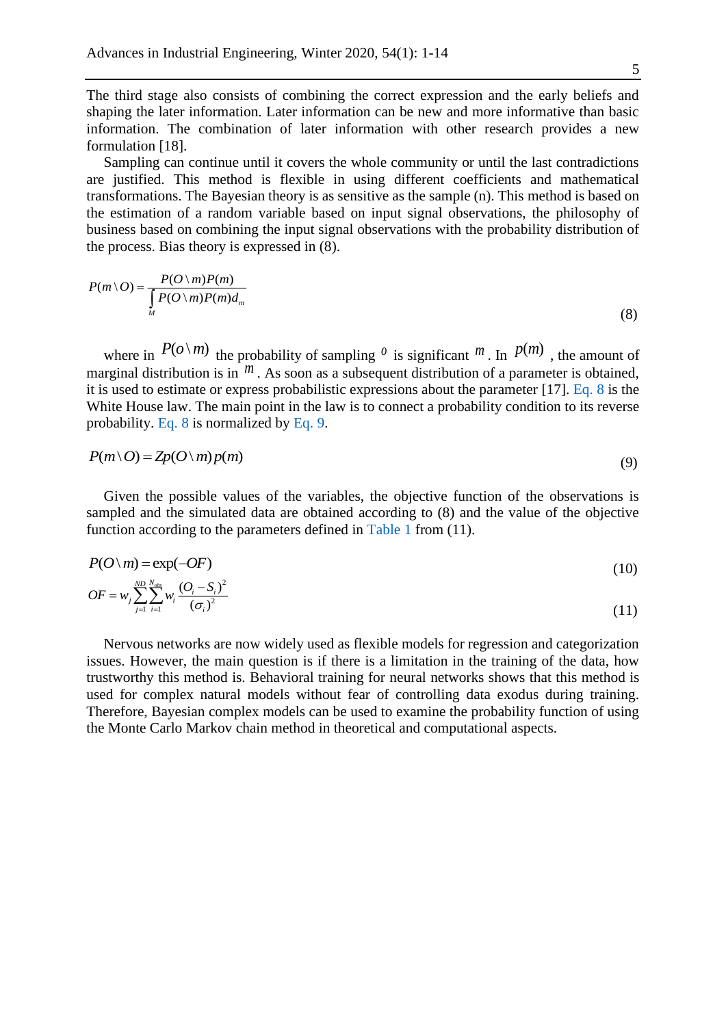The third stage also consists of combining the correct expression and the early beliefs and shaping the later information. Later information can be new and more informative than basic information. The combination of later information with other research provides a new formulation [18].

Sampling can continue until it covers the whole community or until the last contradictions are justified. This method is flexible in using different coefficients and mathematical transformations. The Bayesian theory is as sensitive as the sample (n). This method is based on the estimation of a random variable based on input signal observations, the philosophy of business based on combining the input signal observations with the probability distribution of the process. Bias theory is expressed in (8).

<span id="page-4-0"></span>
$$
P(m \setminus O) = \frac{P(O \setminus m)P(m)}{\int_{M} P(O \setminus m)P(m)d_m}
$$
\n(8)

where in  $P(o \mid m)$  the probability of sampling <sup>*o*</sup> is significant m. In  $P(m)$ , the amount of marginal distribution is in <sup>*m*</sup>. As soon as a subsequent distribution of a parameter is obtained, it is used to estimate or express probabilistic expressions about the parameter [17]. [Eq. 8](#page-4-0) is the White House law. The main point in the law is to connect a probability condition to its reverse probability. [Eq. 8](#page-4-0) is normalized by [Eq. 9.](#page-4-1)

<span id="page-4-1"></span>
$$
P(m \setminus O) = Zp(O \setminus m)p(m) \tag{9}
$$

Given the possible values of the variables, the objective function of the observations is sampled and the simulated data are obtained according to (8) and the value of the objective function according to the parameters defined in [Table 1](#page-5-0) from (11).

$$
P(O \setminus m) = \exp(-OF) \tag{10}
$$

$$
OF = w_j \sum_{j=1}^{ND} \sum_{i=1}^{N_{obs}} w_i \frac{(O_i - S_i)^2}{(\sigma_i)^2}
$$
\n(11)

Nervous networks are now widely used as flexible models for regression and categorization issues. However, the main question is if there is a limitation in the training of the data, how trustworthy this method is. Behavioral training for neural networks shows that this method is used for complex natural models without fear of controlling data exodus during training. Therefore, Bayesian complex models can be used to examine the probability function of using the Monte Carlo Markov chain method in theoretical and computational aspects.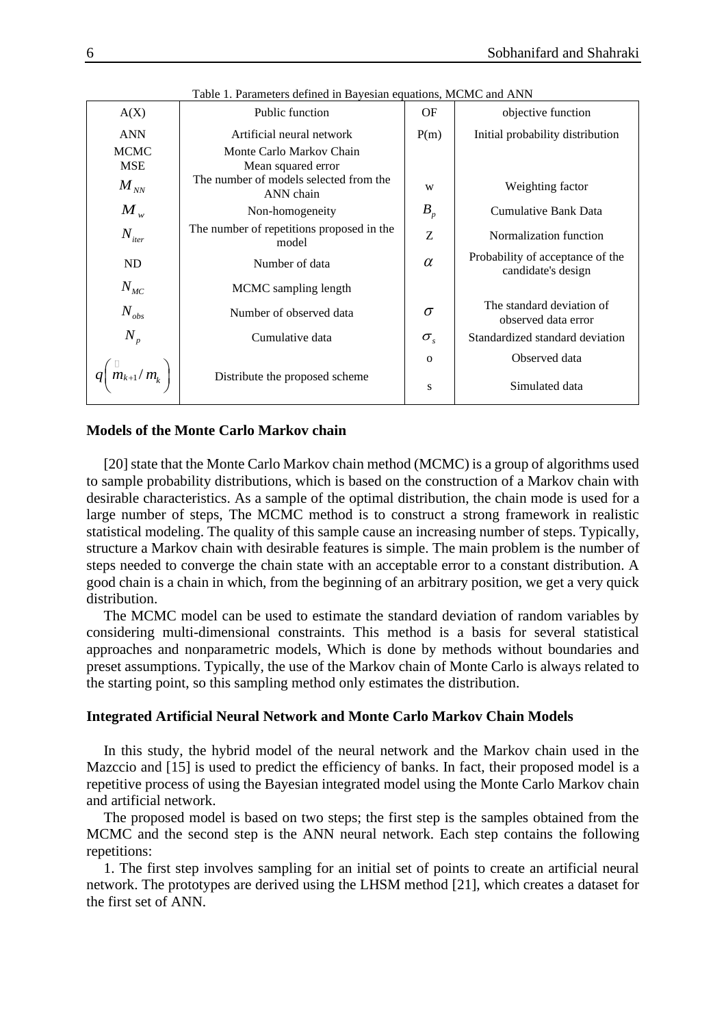|               | I dolu 1. I alameters defined in Dayesian equations, inclute and Arviv |              |                                                        |
|---------------|------------------------------------------------------------------------|--------------|--------------------------------------------------------|
| A(X)          | Public function                                                        | OF           | objective function                                     |
| <b>ANN</b>    | Artificial neural network                                              | P(m)         | Initial probability distribution                       |
| <b>MCMC</b>   | Monte Carlo Markov Chain                                               |              |                                                        |
| <b>MSE</b>    | Mean squared error                                                     |              |                                                        |
| $M_{N\!N}$    | The number of models selected from the<br>ANN chain                    | W            | Weighting factor                                       |
| $M_{w}$       | Non-homogeneity                                                        | $B_p$        | Cumulative Bank Data                                   |
| $N_{iter}$    | The number of repetitions proposed in the<br>model                     | Ζ            | Normalization function                                 |
| ND            | Number of data                                                         | $\alpha$     | Probability of acceptance of the<br>candidate's design |
| $N_{MC}$      | MCMC sampling length                                                   |              |                                                        |
| $N_{obs}$     | Number of observed data                                                | $\sigma$     | The standard deviation of<br>observed data error       |
| $N_p$         | Cumulative data                                                        | $\sigma_{s}$ | Standardized standard deviation                        |
|               |                                                                        | $\mathbf 0$  | Observed data                                          |
| $m_{k+1}/m_k$ | Distribute the proposed scheme                                         | S            | Simulated data                                         |

<span id="page-5-0"></span>Table 1. Parameters defined in Bayesian equations, MCMC and ANN

#### **Models of the Monte Carlo Markov chain**

[20] state that the Monte Carlo Markov chain method (MCMC) is a group of algorithms used to sample probability distributions, which is based on the construction of a Markov chain with desirable characteristics. As a sample of the optimal distribution, the chain mode is used for a large number of steps, The MCMC method is to construct a strong framework in realistic statistical modeling. The quality of this sample cause an increasing number of steps. Typically, structure a Markov chain with desirable features is simple. The main problem is the number of steps needed to converge the chain state with an acceptable error to a constant distribution. A good chain is a chain in which, from the beginning of an arbitrary position, we get a very quick distribution.

The MCMC model can be used to estimate the standard deviation of random variables by considering multi-dimensional constraints. This method is a basis for several statistical approaches and nonparametric models, Which is done by methods without boundaries and preset assumptions. Typically, the use of the Markov chain of Monte Carlo is always related to the starting point, so this sampling method only estimates the distribution.

## **Integrated Artificial Neural Network and Monte Carlo Markov Chain Models**

In this study, the hybrid model of the neural network and the Markov chain used in the Mazccio and [15] is used to predict the efficiency of banks. In fact, their proposed model is a repetitive process of using the Bayesian integrated model using the Monte Carlo Markov chain and artificial network.

The proposed model is based on two steps; the first step is the samples obtained from the MCMC and the second step is the ANN neural network. Each step contains the following repetitions:

1. The first step involves sampling for an initial set of points to create an artificial neural network. The prototypes are derived using the LHSM method [21], which creates a dataset for the first set of ANN.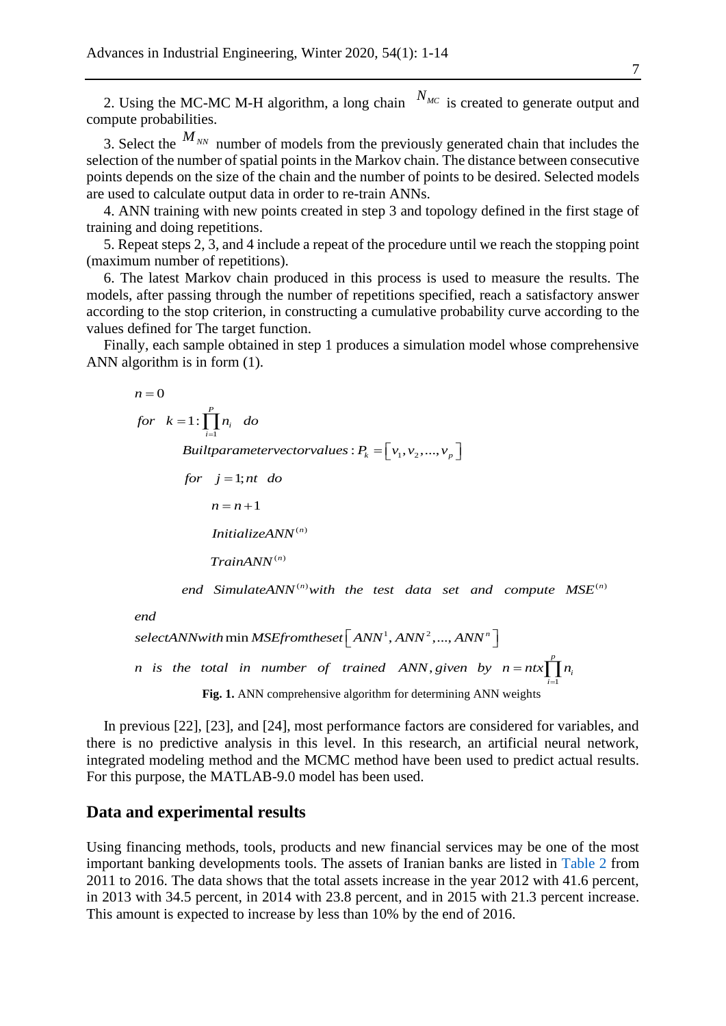2. Using the MC-MC M-H algorithm, a long chain  $N_{MC}$  is created to generate output and compute probabilities.

3. Select the  $M_{NN}$  number of models from the previously generated chain that includes the selection of the number of spatial points in the Markov chain. The distance between consecutive points depends on the size of the chain and the number of points to be desired. Selected models are used to calculate output data in order to re-train ANNs.

4. ANN training with new points created in step 3 and topology defined in the first stage of training and doing repetitions.

5. Repeat steps 2, 3, and 4 include a repeat of the procedure until we reach the stopping point (maximum number of repetitions).

6. The latest Markov chain produced in this process is used to measure the results. The models, after passing through the number of repetitions specified, reach a satisfactory answer according to the stop criterion, in constructing a cumulative probability curve according to the values defined for The target function.

Finally, each sample obtained in step 1 produces a simulation model whose comprehensive ANN algorithm is in form (1).

$$
n = 0
$$
  
for  $k = 1$ :  $\prod_{i=1}^{p} n_i$  do  
Building  
rameter vector values:  $P_k = [v_1, v_2, ..., v_p]$   
for  $j = 1$ ; *nt do*  
 $n = n + 1$   
InitializeANN<sup>(n)</sup>  
TrainANN<sup>(n)</sup>

end SimulateANN<sup>(n)</sup>with the test data set and compute  $MSE^{(n)}$ 

*end*

<span id="page-6-1"></span> $\textit{selectANN}$ with  $\min\textit{MSE}$ fromtheset  $\left[\textit{ANN}^{1}, \textit{ANN}^{2}, ..., \textit{ANN}^{n}\right]$ 1 , *p n* is the total in number of trained ANN given by  $n = ntx \prod n_i$ *i* **Fig. 1.** ANN comprehensive algorithm for determining ANN weights

In previous [22], [23], and [24], most performance factors are considered for variables, and there is no predictive analysis in this level. In this research, an artificial neural network, integrated modeling method and the MCMC method have been used to predict actual results. For this purpose, the MATLAB-9.0 model has been used.

## <span id="page-6-0"></span>**Data and experimental results**

Using financing methods, tools, products and new financial services may be one of the most important banking developments tools. The assets of Iranian banks are listed in [Table 2](#page-7-0) from 2011 to 2016. The data shows that the total assets increase in the year 2012 with 41.6 percent, in 2013 with 34.5 percent, in 2014 with 23.8 percent, and in 2015 with 21.3 percent increase. This amount is expected to increase by less than 10% by the end of 2016.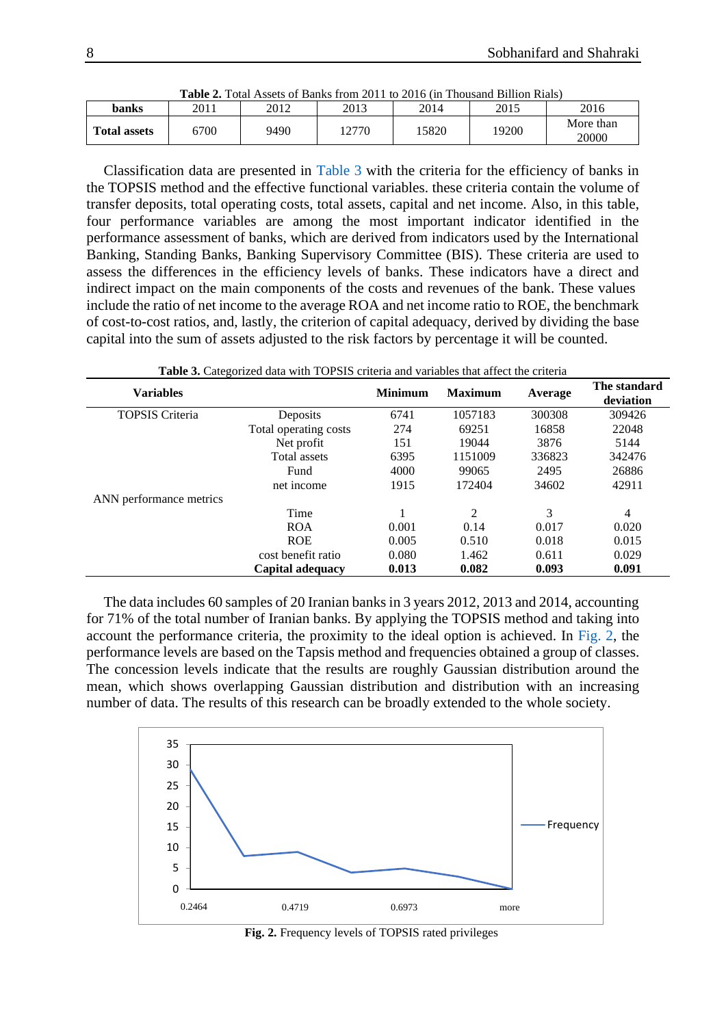|                     |      |      | <b>Table 2.</b> Total Assets of Baliks Holli 2011 to 2010 (iii) Housand Billion Nials) |       |       |                    |
|---------------------|------|------|----------------------------------------------------------------------------------------|-------|-------|--------------------|
| banks               | 2011 | 2012 | 2013                                                                                   | 2014  | 2015  | 2016               |
| <b>Total assets</b> | 5700 | 9490 | 2770                                                                                   | 15820 | .9200 | More than<br>20000 |

<span id="page-7-0"></span> $\epsilon$  **Daulas from 2011 to 2016 (in Thousand Billion Bigle)** 

Classification data are presented in [Table 3](#page-7-1) with the criteria for the efficiency of banks in the TOPSIS method and the effective functional variables. these criteria contain the volume of transfer deposits, total operating costs, total assets, capital and net income. Also, in this table, four performance variables are among the most important indicator identified in the performance assessment of banks, which are derived from indicators used by the International Banking, Standing Banks, Banking Supervisory Committee (BIS). These criteria are used to assess the differences in the efficiency levels of banks. These indicators have a direct and indirect impact on the main components of the costs and revenues of the bank. These values include the ratio of net income to the average ROA and net income ratio to ROE, the benchmark of cost-to-cost ratios, and, lastly, the criterion of capital adequacy, derived by dividing the base capital into the sum of assets adjusted to the risk factors by percentage it will be counted.

|                         | <b>Table 3.</b> Categorized data with TOF313 Criteria and variables that affect the criteria |                |                |         |                           |
|-------------------------|----------------------------------------------------------------------------------------------|----------------|----------------|---------|---------------------------|
| <b>Variables</b>        |                                                                                              | <b>Minimum</b> | <b>Maximum</b> | Average | The standard<br>deviation |
| <b>TOPSIS Criteria</b>  | Deposits                                                                                     | 6741           | 1057183        | 300308  | 309426                    |
|                         | Total operating costs                                                                        | 274            | 69251          | 16858   | 22048                     |
|                         | Net profit                                                                                   | 151            | 19044          | 3876    | 5144                      |
|                         | Total assets                                                                                 | 6395           | 1151009        | 336823  | 342476                    |
|                         | Fund                                                                                         | 4000           | 99065          | 2495    | 26886                     |
|                         | net income                                                                                   | 1915           | 172404         | 34602   | 42911                     |
| ANN performance metrics |                                                                                              |                |                |         |                           |
|                         | Time                                                                                         |                | 2              | 3       | 4                         |
|                         | <b>ROA</b>                                                                                   | 0.001          | 0.14           | 0.017   | 0.020                     |
|                         | <b>ROE</b>                                                                                   | 0.005          | 0.510          | 0.018   | 0.015                     |
|                         | cost benefit ratio                                                                           | 0.080          | 1.462          | 0.611   | 0.029                     |
|                         | Capital adequacy                                                                             | 0.013          | 0.082          | 0.093   | 0.091                     |

<span id="page-7-1"></span>**Table 3.** Categorized data with TOPSIS criteria and variables that affect the criteria

The data includes 60 samples of 20 Iranian banks in 3 years 2012, 2013 and 2014, accounting for 71% of the total number of Iranian banks. By applying the TOPSIS method and taking into account the performance criteria, the proximity to the ideal option is achieved. In [Fig. 2,](#page-7-2) the performance levels are based on the Tapsis method and frequencies obtained a group of classes. The concession levels indicate that the results are roughly Gaussian distribution around the mean, which shows overlapping Gaussian distribution and distribution with an increasing number of data. The results of this research can be broadly extended to the whole society.



<span id="page-7-2"></span>**Fig. 2.** Frequency levels of TOPSIS rated privileges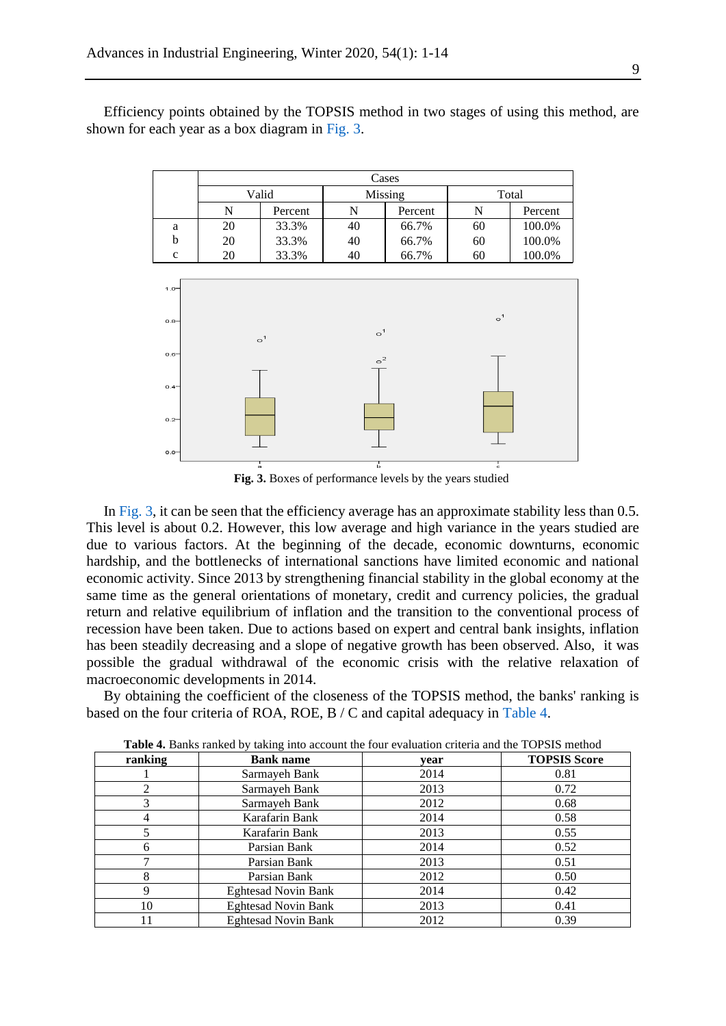Efficiency points obtained by the TOPSIS method in two stages of using this method, are shown for each year as a box diagram in [Fig. 3.](#page-8-0)



<span id="page-8-0"></span>**Fig. 3.** Boxes of performance levels by the years studied

In [Fig. 3,](#page-8-0) it can be seen that the efficiency average has an approximate stability less than 0.5. This level is about 0.2. However, this low average and high variance in the years studied are due to various factors. At the beginning of the decade, economic downturns, economic hardship, and the bottlenecks of international sanctions have limited economic and national economic activity. Since 2013 by strengthening financial stability in the global economy at the same time as the general orientations of monetary, credit and currency policies, the gradual return and relative equilibrium of inflation and the transition to the conventional process of recession have been taken. Due to actions based on expert and central bank insights, inflation has been steadily decreasing and a slope of negative growth has been observed. Also, it was possible the gradual withdrawal of the economic crisis with the relative relaxation of macroeconomic developments in 2014.

By obtaining the coefficient of the closeness of the TOPSIS method, the banks' ranking is based on the four criteria of ROA, ROE, B / C and capital adequacy in [Table 4.](#page-8-1)

| ranking | <b>Bank name</b>           | vear | <b>TOPSIS Score</b> |
|---------|----------------------------|------|---------------------|
|         | Sarmayeh Bank              | 2014 | 0.81                |
|         | Sarmayeh Bank              | 2013 | 0.72                |
|         | Sarmayeh Bank              | 2012 | 0.68                |
|         | Karafarin Bank             | 2014 | 0.58                |
|         | Karafarin Bank             | 2013 | 0.55                |
| h.      | Parsian Bank               | 2014 | 0.52                |
|         | Parsian Bank               | 2013 | 0.51                |
| 8       | Parsian Bank               | 2012 | 0.50                |
| 9       | <b>Eghtesad Novin Bank</b> | 2014 | 0.42                |
| 10      | <b>Eghtesad Novin Bank</b> | 2013 | 0.41                |
|         | <b>Eghtesad Novin Bank</b> | 2012 | 0.39                |

<span id="page-8-1"></span>**Table 4.** Banks ranked by taking into account the four evaluation criteria and the TOPSIS method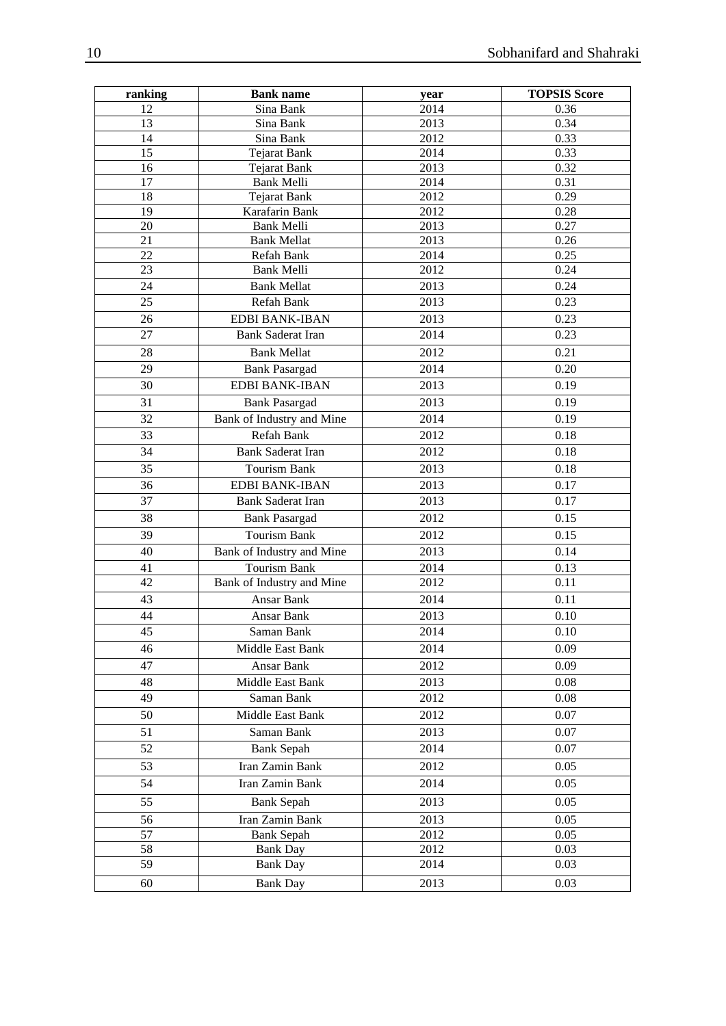| ranking  | <b>Bank name</b>                        | year         | <b>TOPSIS Score</b> |
|----------|-----------------------------------------|--------------|---------------------|
| 12       | Sina Bank                               | 2014         | 0.36                |
| 13       | Sina Bank                               | 2013         | 0.34                |
| 14       | Sina Bank                               | 2012         | 0.33                |
| 15       | <b>Tejarat Bank</b>                     | 2014         | 0.33                |
| 16       | <b>Tejarat Bank</b>                     | 2013         | 0.32                |
| 17       | Bank Melli                              | 2014         | 0.31                |
| 18       | <b>Tejarat Bank</b>                     | 2012         | 0.29                |
| 19       | Karafarin Bank                          | 2012         | 0.28                |
| 20<br>21 | <b>Bank Melli</b><br><b>Bank Mellat</b> | 2013<br>2013 | 0.27<br>0.26        |
| 22       | Refah Bank                              | 2014         | 0.25                |
| 23       | Bank Melli                              | 2012         | 0.24                |
| 24       | <b>Bank Mellat</b>                      | 2013         | 0.24                |
| 25       | Refah Bank                              | 2013         | 0.23                |
| 26       | EDBI BANK-IBAN                          | 2013         | 0.23                |
| 27       | <b>Bank Saderat Iran</b>                | 2014         | 0.23                |
|          |                                         |              |                     |
| 28       | <b>Bank Mellat</b>                      | 2012         | 0.21                |
| 29       | <b>Bank Pasargad</b>                    | 2014         | 0.20                |
| 30       | EDBI BANK-IBAN                          | 2013         | 0.19                |
| 31       | <b>Bank Pasargad</b>                    | 2013         | 0.19                |
| 32       | Bank of Industry and Mine               | 2014         | 0.19                |
| 33       | Refah Bank                              | 2012         | 0.18                |
| 34       | <b>Bank Saderat Iran</b>                | 2012         | 0.18                |
| 35       | Tourism Bank                            | 2013         | 0.18                |
| 36       | <b>EDBI BANK-IBAN</b>                   | 2013         | 0.17                |
| 37       | Bank Saderat Iran                       | 2013         | 0.17                |
| 38       | <b>Bank Pasargad</b>                    | 2012         | 0.15                |
| 39       | Tourism Bank                            | 2012         | 0.15                |
| 40       | Bank of Industry and Mine               | 2013         | 0.14                |
| 41       | Tourism Bank                            | 2014         | 0.13                |
| 42       | Bank of Industry and Mine               | 2012         | 0.11                |
| 43       | Ansar Bank                              | 2014         | 0.11                |
| 44       | Ansar Bank                              | 2013         | 0.10                |
| 45       | Saman Bank                              | 2014         | $0.10\,$            |
| 46       | Middle East Bank                        | 2014         | 0.09                |
| 47       | Ansar Bank                              | 2012         | 0.09                |
| 48       | Middle East Bank                        | 2013         | 0.08                |
| 49       | Saman Bank                              | 2012         | 0.08                |
| 50       | Middle East Bank                        | 2012         | 0.07                |
| 51       | Saman Bank                              | 2013         | 0.07                |
| 52       | <b>Bank Sepah</b>                       | 2014         | 0.07                |
| 53       | Iran Zamin Bank                         | 2012         | 0.05                |
| 54       | Iran Zamin Bank                         | 2014         | 0.05                |
| 55       | <b>Bank Sepah</b>                       | 2013         | 0.05                |
| 56       | Iran Zamin Bank                         | 2013         | 0.05                |
| 57       | <b>Bank Sepah</b>                       | 2012         | 0.05                |
| 58       | <b>Bank Day</b>                         | 2012         | 0.03                |
| 59       | <b>Bank Day</b>                         | 2014         | 0.03                |
| 60       | <b>Bank Day</b>                         | 2013         | 0.03                |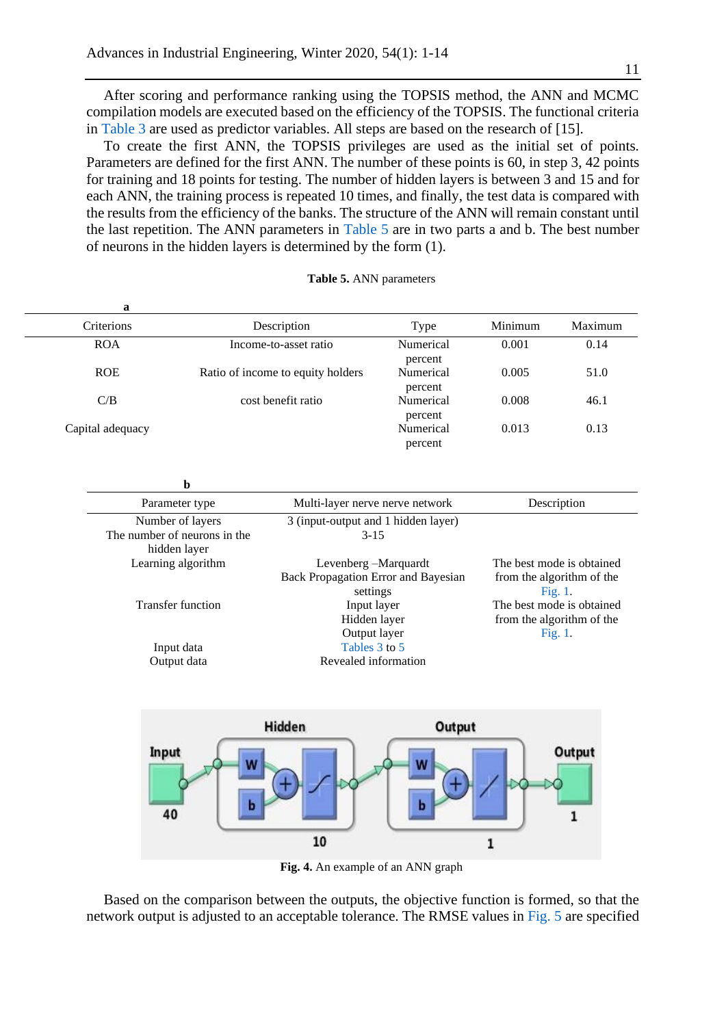After scoring and performance ranking using the TOPSIS method, the ANN and MCMC compilation models are executed based on the efficiency of the TOPSIS. The functional criteria in [Table 3](#page-7-1) are used as predictor variables. All steps are based on the research of [15].

To create the first ANN, the TOPSIS privileges are used as the initial set of points. Parameters are defined for the first ANN. The number of these points is 60, in step 3, 42 points for training and 18 points for testing. The number of hidden layers is between 3 and 15 and for each ANN, the training process is repeated 10 times, and finally, the test data is compared with the results from the efficiency of the banks. The structure of the ANN will remain constant until the last repetition. The ANN parameters in [Table 5](#page-10-0) are in two parts a and b. The best number of neurons in the hidden layers is determined by the form (1).

| a                |                                   |                      |         |         |
|------------------|-----------------------------------|----------------------|---------|---------|
| Criterions       | Description                       | Type                 | Minimum | Maximum |
| <b>ROA</b>       | Income-to-asset ratio             | Numerical<br>percent | 0.001   | 0.14    |
| <b>ROE</b>       | Ratio of income to equity holders | Numerical<br>percent | 0.005   | 51.0    |
| C/B              | cost benefit ratio                | Numerical<br>percent | 0.008   | 46.1    |
| Capital adequacy |                                   | Numerical            | 0.013   | 0.13    |

<span id="page-10-0"></span>**Table 5.** ANN parameters

percent

| Parameter type               | Multi-layer nerve nerve network                 | Description                          |
|------------------------------|-------------------------------------------------|--------------------------------------|
| Number of layers             | 3 (input-output and 1 hidden layer)             |                                      |
| The number of neurons in the | $3 - 15$                                        |                                      |
| hidden layer                 |                                                 |                                      |
| Learning algorithm           | Levenberg – Marquardt                           | The best mode is obtained            |
|                              | Back Propagation Error and Bayesian<br>settings | from the algorithm of the<br>Fig. 1. |
| <b>Transfer function</b>     | Input layer                                     | The best mode is obtained            |
|                              | Hidden layer                                    | from the algorithm of the            |
|                              | Output layer                                    | Fig. 1.                              |
| Input data                   | Tables 3 to 5                                   |                                      |
| Output data                  | Revealed information                            |                                      |



**Fig. 4.** An example of an ANN graph

Based on the comparison between the outputs, the objective function is formed, so that the network output is adjusted to an acceptable tolerance. The RMSE values in [Fig. 5](#page-11-0) are specified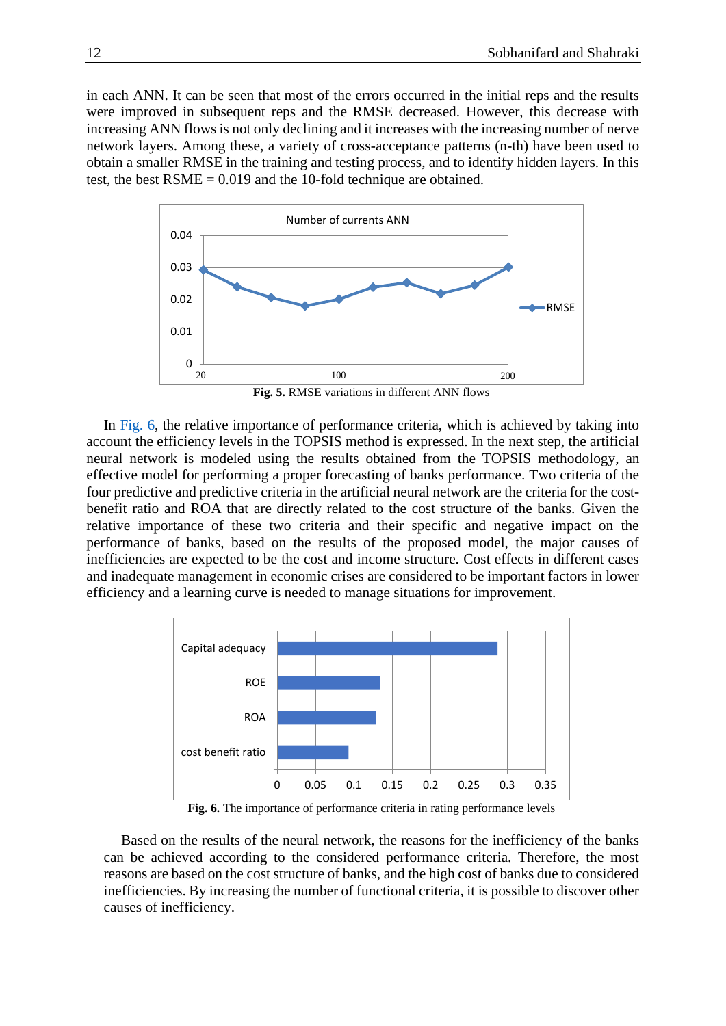in each ANN. It can be seen that most of the errors occurred in the initial reps and the results were improved in subsequent reps and the RMSE decreased. However, this decrease with increasing ANN flows is not only declining and it increases with the increasing number of nerve network layers. Among these, a variety of cross-acceptance patterns (n-th) have been used to obtain a smaller RMSE in the training and testing process, and to identify hidden layers. In this test, the best RSME = 0.019 and the 10-fold technique are obtained.



<span id="page-11-0"></span>In [Fig. 6,](#page-11-1) the relative importance of performance criteria, which is achieved by taking into account the efficiency levels in the TOPSIS method is expressed. In the next step, the artificial neural network is modeled using the results obtained from the TOPSIS methodology, an effective model for performing a proper forecasting of banks performance. Two criteria of the four predictive and predictive criteria in the artificial neural network are the criteria for the costbenefit ratio and ROA that are directly related to the cost structure of the banks. Given the relative importance of these two criteria and their specific and negative impact on the performance of banks, based on the results of the proposed model, the major causes of inefficiencies are expected to be the cost and income structure. Cost effects in different cases and inadequate management in economic crises are considered to be important factors in lower efficiency and a learning curve is needed to manage situations for improvement.



<span id="page-11-1"></span>**Fig. 6.** The importance of performance criteria in rating performance levels

Based on the results of the neural network, the reasons for the inefficiency of the banks can be achieved according to the considered performance criteria. Therefore, the most reasons are based on the cost structure of banks, and the high cost of banks due to considered inefficiencies. By increasing the number of functional criteria, it is possible to discover other causes of inefficiency.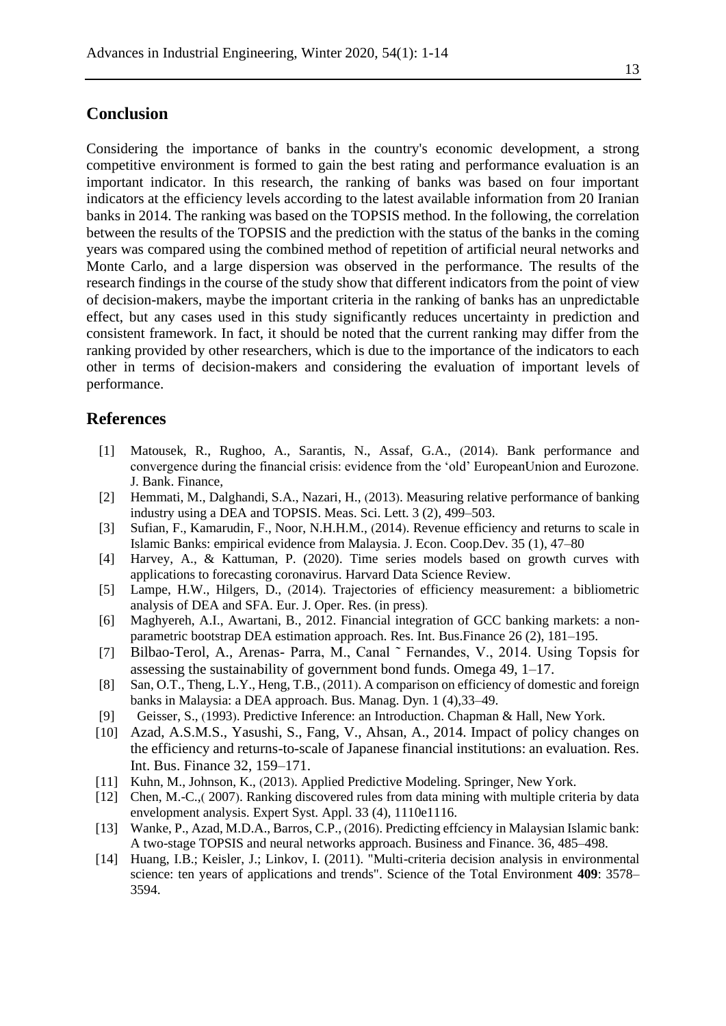## **Conclusion**

Considering the importance of banks in the country's economic development, a strong competitive environment is formed to gain the best rating and performance evaluation is an important indicator. In this research, the ranking of banks was based on four important indicators at the efficiency levels according to the latest available information from 20 Iranian banks in 2014. The ranking was based on the TOPSIS method. In the following, the correlation between the results of the TOPSIS and the prediction with the status of the banks in the coming years was compared using the combined method of repetition of artificial neural networks and Monte Carlo, and a large dispersion was observed in the performance. The results of the research findings in the course of the study show that different indicators from the point of view of decision-makers, maybe the important criteria in the ranking of banks has an unpredictable effect, but any cases used in this study significantly reduces uncertainty in prediction and consistent framework. In fact, it should be noted that the current ranking may differ from the ranking provided by other researchers, which is due to the importance of the indicators to each other in terms of decision-makers and considering the evaluation of important levels of performance.

## **References**

- [1] Matousek, R., Rughoo, A., Sarantis, N., Assaf, G.A., (2014). Bank performance and convergence during the financial crisis: evidence from the 'old' EuropeanUnion and Eurozone. J. Bank. Finance,
- [2] Hemmati, M., Dalghandi, S.A., Nazari, H., (2013). Measuring relative performance of banking industry using a DEA and TOPSIS. Meas. Sci. Lett. 3 (2), 499–503.
- [3] Sufian, F., Kamarudin, F., Noor, N.H.H.M., (2014). Revenue efficiency and returns to scale in Islamic Banks: empirical evidence from Malaysia. J. Econ. Coop.Dev. 35 (1), 47–80
- [4] Harvey, A., & Kattuman, P. (2020). Time series models based on growth curves with applications to forecasting coronavirus. Harvard Data Science Review.
- [5] Lampe, H.W., Hilgers, D., (2014). Trajectories of efficiency measurement: a bibliometric analysis of DEA and SFA. Eur. J. Oper. Res. (in press).
- [6] Maghyereh, A.I., Awartani, B., 2012. Financial integration of GCC banking markets: a nonparametric bootstrap DEA estimation approach. Res. Int. Bus.Finance 26 (2), 181–195.
- [7] Bilbao-Terol, A., Arenas- Parra, M., Canal ˜ Fernandes, V., 2014. Using Topsis for assessing the sustainability of government bond funds. Omega 49, 1–17.
- [8] San, O.T., Theng, L.Y., Heng, T.B., (2011). A comparison on efficiency of domestic and foreign banks in Malaysia: a DEA approach. Bus. Manag. Dyn. 1 (4),33–49.
- [9] Geisser, S., (1993). Predictive Inference: an Introduction. Chapman & Hall, New York.
- [10] Azad, A.S.M.S., Yasushi, S., Fang, V., Ahsan, A., 2014. Impact of policy changes on the efficiency and returns-to-scale of Japanese financial institutions: an evaluation. Res. Int. Bus. Finance 32, 159–171.
- [11] Kuhn, M., Johnson, K., (2013). Applied Predictive Modeling. Springer, New York.
- [12] Chen, M.-C.,(2007), Ranking discovered rules from data mining with multiple criteria by data envelopment analysis. Expert Syst. Appl. 33 (4), 1110e1116.
- [13] Wanke, P., Azad, M.D.A., Barros, C.P., (2016). Predicting effciency in Malaysian Islamic bank: A two-stage TOPSIS and neural networks approach. Business and Finance. 36, 485–498.
- [14] Huang, I.B.; Keisler, J.; Linkov, I. (2011). "Multi-criteria decision analysis in environmental science: ten years of applications and trends". Science of the Total Environment **409**: 3578– 3594.